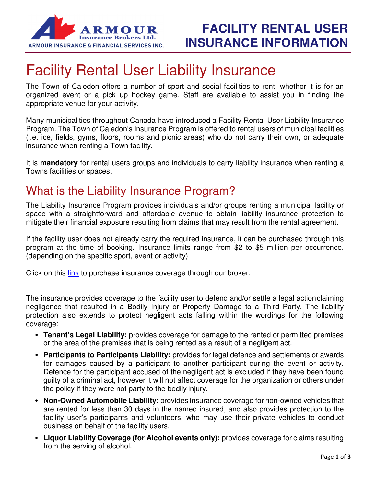

# Facility Rental User Liability Insurance

The Town of Caledon offers a number of sport and social facilities to rent, whether it is for an organized event or a pick up hockey game. Staff are available to assist you in finding the appropriate venue for your activity.

Many municipalities throughout Canada have introduced a Facility Rental User Liability Insurance Program. The Town of Caledon's Insurance Program is offered to rental users of municipal facilities (i.e. ice, fields, gyms, floors, rooms and picnic areas) who do not carry their own, or adequate insurance when renting a Town facility.

It is **mandatory** for rental users groups and individuals to carry liability insurance when renting a Towns facilities or spaces.

## What is the Liability Insurance Program?

The Liability Insurance Program provides individuals and/or groups renting a municipal facility or space with a straightforward and affordable avenue to obtain liability insurance protection to mitigate their financial exposure resulting from claims that may result from the rental agreement.

If the facility user does not already carry the required insurance, it can be purchased through this program at the time of booking. Insurance limits range from \$2 to \$5 million per occurrence. (depending on the specific sport, event or activity)

Click on this link to purchase insurance coverage through our broker.

The insurance provides coverage to the facility user to defend and/or settle a legal action claiming negligence that resulted in a Bodily Injury or Property Damage to a Third Party. The liability protection also extends to protect negligent acts falling within the wordings for the following coverage:

- **Tenant's Legal Liability:** provides coverage for damage to the rented or permitted premises or the area of the premises that is being rented as a result of a negligent act.
- **Participants to Participants Liability:** provides for legal defence and settlements or awards for damages caused by a participant to another participant during the event or activity. Defence for the participant accused of the negligent act is excluded if they have been found guilty of a criminal act, however it will not affect coverage for the organization or others under the policy if they were not party to the bodily injury.
- **Non-Owned Automobile Liability:** provides insurance coverage for non-owned vehicles that are rented for less than 30 days in the named insured, and also provides protection to the facility user's participants and volunteers, who may use their private vehicles to conduct business on behalf of the facility users.
- **Liquor Liability Coverage (for Alcohol events only):** provides coverage for claims resulting from the serving of alcohol.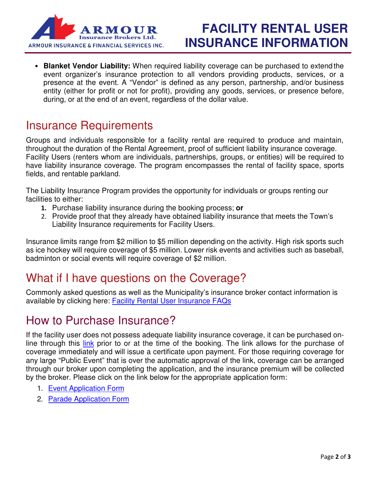

# **FACILITY RENTAL USER INSURANCE INFORMATION**

• **Blanket Vendor Liability:** When required liability coverage can be purchased to extend the event organizer's insurance protection to all vendors providing products, services, or a presence at the event. A "Vendor" is defined as any person, partnership, and/or business entity (either for profit or not for profit), providing any goods, services, or presence before, during, or at the end of an event, regardless of the dollar value.

#### Insurance Requirements

Groups and individuals responsible for a facility rental are required to produce and maintain, throughout the duration of the Rental Agreement, proof of sufficient liability insurance coverage. Facility Users (renters whom are individuals, partnerships, groups, or entities) will be required to have liability insurance coverage. The program encompasses the rental of facility space, sports fields, and rentable parkland.

The Liability Insurance Program provides the opportunity for individuals or groups renting our facilities to either:

- 1. Purchase liability insurance during the booking process; **or**
- 2. Provide proof that they already have obtained liability insurance that meets the Town's Liability Insurance requirements for Facility Users.

Insurance limits range from \$2 million to \$5 million depending on the activity. High risk sports such as ice hockey will require coverage of \$5 million. Lower risk events and activities such as baseball, badminton or social events will require coverage of \$2 million.

### What if I have questions on the Coverage?

Commonly asked questions as well as the Municipality's insurance broker contact information is available by clicking here: Facility Rental User Insurance FAQs

### How to Purchase Insurance?

If the facility user does not possess adequate liability insurance coverage, it can be purchased online through this link prior to or at the time of the booking. The link allows for the purchase of coverage immediately and will issue a certificate upon payment. For those requiring coverage for any large "Public Event" that is over the automatic approval of the link, coverage can be arranged through our broker upon completing the application, and the insurance premium will be collected by the broker. Please click on the link below for the appropriate application form:

- 1. Event Application Form
- 2. Parade Application Form